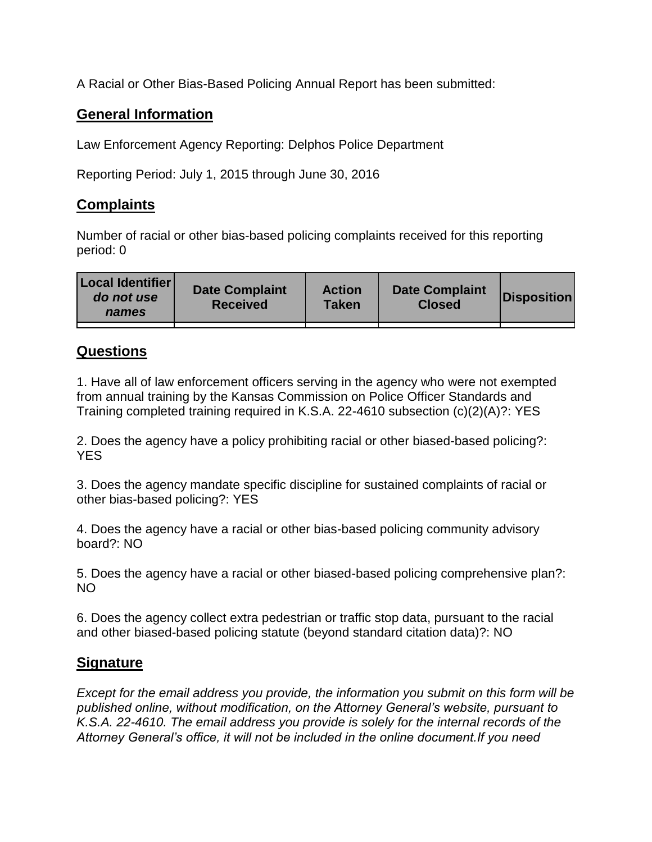A Racial or Other Bias-Based Policing Annual Report has been submitted:

## **General Information**

Law Enforcement Agency Reporting: Delphos Police Department

Reporting Period: July 1, 2015 through June 30, 2016

## **Complaints**

Number of racial or other bias-based policing complaints received for this reporting period: 0

## **Questions**

1. Have all of law enforcement officers serving in the agency who were not exempted from annual training by the Kansas Commission on Police Officer Standards and Training completed training required in K.S.A. 22-4610 subsection (c)(2)(A)?: YES

2. Does the agency have a policy prohibiting racial or other biased-based policing?: YES

3. Does the agency mandate specific discipline for sustained complaints of racial or other bias-based policing?: YES

4. Does the agency have a racial or other bias-based policing community advisory board?: NO

5. Does the agency have a racial or other biased-based policing comprehensive plan?: NO

6. Does the agency collect extra pedestrian or traffic stop data, pursuant to the racial and other biased-based policing statute (beyond standard citation data)?: NO

## **Signature**

*Except for the email address you provide, the information you submit on this form will be published online, without modification, on the Attorney General's website, pursuant to K.S.A. 22-4610. The email address you provide is solely for the internal records of the Attorney General's office, it will not be included in the online document.If you need*